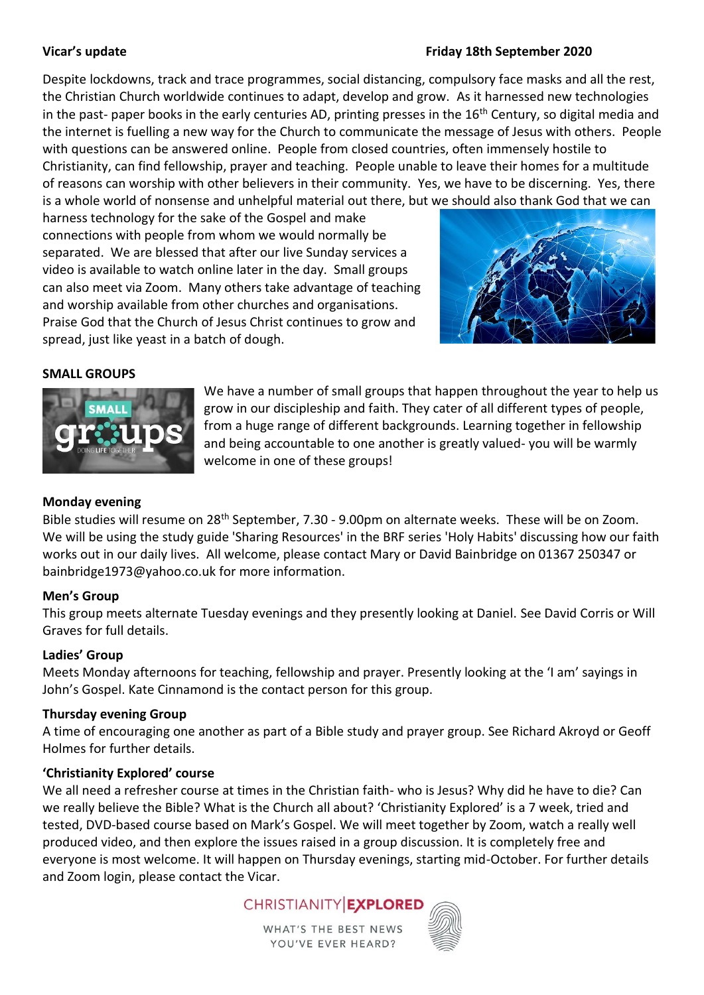## **Vicar's update Friday 18th September 2020**

Despite lockdowns, track and trace programmes, social distancing, compulsory face masks and all the rest, the Christian Church worldwide continues to adapt, develop and grow. As it harnessed new technologies in the past- paper books in the early centuries AD, printing presses in the  $16<sup>th</sup>$  Century, so digital media and the internet is fuelling a new way for the Church to communicate the message of Jesus with others. People with questions can be answered online. People from closed countries, often immensely hostile to Christianity, can find fellowship, prayer and teaching. People unable to leave their homes for a multitude of reasons can worship with other believers in their community. Yes, we have to be discerning. Yes, there is a whole world of nonsense and unhelpful material out there, but we should also thank God that we can

harness technology for the sake of the Gospel and make connections with people from whom we would normally be separated. We are blessed that after our live Sunday services a video is available to watch online later in the day. Small groups can also meet via Zoom. Many others take advantage of teaching and worship available from other churches and organisations. Praise God that the Church of Jesus Christ continues to grow and spread, just like yeast in a batch of dough.



# **SMALL GROUPS**



We have a number of small groups that happen throughout the year to help us grow in our discipleship and faith. They cater of all different types of people, from a huge range of different backgrounds. Learning together in fellowship and being accountable to one another is greatly valued- you will be warmly welcome in one of these groups!

## **Monday evening**

Bible studies will resume on 28<sup>th</sup> September, 7.30 - 9.00pm on alternate weeks. These will be on Zoom. We will be using the study guide 'Sharing Resources' in the BRF series 'Holy Habits' discussing how our faith works out in our daily lives. All welcome, please contact Mary or David Bainbridge on 01367 250347 or [bainbridge1973@yahoo.co.uk](mailto:bainbridge1973@yahoo.co.uk) for more information.

## **Men's Group**

This group meets alternate Tuesday evenings and they presently looking at Daniel. See David Corris or Will Graves for full details.

## **Ladies' Group**

Meets Monday afternoons for teaching, fellowship and prayer. Presently looking at the 'I am' sayings in John's Gospel. Kate Cinnamond is the contact person for this group.

## **Thursday evening Group**

A time of encouraging one another as part of a Bible study and prayer group. See Richard Akroyd or Geoff Holmes for further details.

## **'Christianity Explored' course**

We all need a refresher course at times in the Christian faith- who is Jesus? Why did he have to die? Can we really believe the Bible? What is the Church all about? 'Christianity Explored' is a 7 week, tried and tested, DVD-based course based on Mark's Gospel. We will meet together by Zoom, watch a really well produced video, and then explore the issues raised in a group discussion. It is completely free and everyone is most welcome. It will happen on Thursday evenings, starting mid-October. For further details and Zoom login, please contact the Vicar.



**WHAT'S THE BEST NEWS** YOU'VE EVER HEARD?